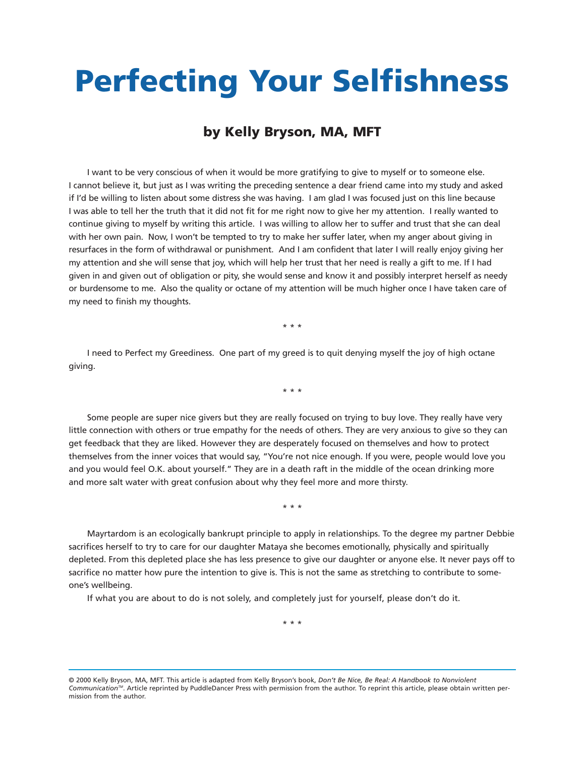## **Perfecting Your Selfishness**

## **by Kelly Bryson, MA, MFT**

I want to be very conscious of when it would be more gratifying to give to myself or to someone else. I cannot believe it, but just as I was writing the preceding sentence a dear friend came into my study and asked if I'd be willing to listen about some distress she was having. I am glad I was focused just on this line because I was able to tell her the truth that it did not fit for me right now to give her my attention. I really wanted to continue giving to myself by writing this article. I was willing to allow her to suffer and trust that she can deal with her own pain. Now, I won't be tempted to try to make her suffer later, when my anger about giving in resurfaces in the form of withdrawal or punishment. And I am confident that later I will really enjoy giving her my attention and she will sense that joy, which will help her trust that her need is really a gift to me. If I had given in and given out of obligation or pity, she would sense and know it and possibly interpret herself as needy or burdensome to me. Also the quality or octane of my attention will be much higher once I have taken care of my need to finish my thoughts.

\* \* \*

I need to Perfect my Greediness. One part of my greed is to quit denying myself the joy of high octane giving.

\* \* \*

Some people are super nice givers but they are really focused on trying to buy love. They really have very little connection with others or true empathy for the needs of others. They are very anxious to give so they can get feedback that they are liked. However they are desperately focused on themselves and how to protect themselves from the inner voices that would say, "You're not nice enough. If you were, people would love you and you would feel O.K. about yourself." They are in a death raft in the middle of the ocean drinking more and more salt water with great confusion about why they feel more and more thirsty.

\* \* \*

Mayrtardom is an ecologically bankrupt principle to apply in relationships. To the degree my partner Debbie sacrifices herself to try to care for our daughter Mataya she becomes emotionally, physically and spiritually depleted. From this depleted place she has less presence to give our daughter or anyone else. It never pays off to sacrifice no matter how pure the intention to give is. This is not the same as stretching to contribute to someone's wellbeing.

If what you are about to do is not solely, and completely just for yourself, please don't do it.

\* \* \*

<sup>© 2000</sup> Kelly Bryson, MA, MFT. This article is adapted from Kelly Bryson's book, *Don't Be Nice, Be Real: A Handbook to Nonviolent CommunicationTM*. Article reprinted by PuddleDancer Press with permission from the author. To reprint this article, please obtain written permission from the author.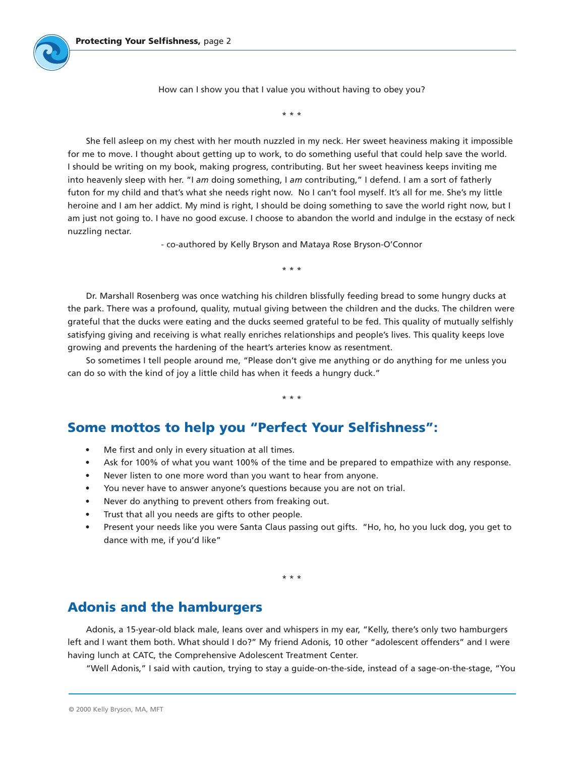How can I show you that I value you without having to obey you?

\* \* \*

She fell asleep on my chest with her mouth nuzzled in my neck. Her sweet heaviness making it impossible for me to move. I thought about getting up to work, to do something useful that could help save the world. I should be writing on my book, making progress, contributing. But her sweet heaviness keeps inviting me into heavenly sleep with her. "I *am* doing something, I *am* contributing," I defend. I am a sort of fatherly futon for my child and that's what she needs right now. No I can't fool myself. It's all for me. She's my little heroine and I am her addict. My mind is right, I should be doing something to save the world right now, but I am just not going to. I have no good excuse. I choose to abandon the world and indulge in the ecstasy of neck nuzzling nectar.

- co-authored by Kelly Bryson and Mataya Rose Bryson-O'Connor

\* \* \*

Dr. Marshall Rosenberg was once watching his children blissfully feeding bread to some hungry ducks at the park. There was a profound, quality, mutual giving between the children and the ducks. The children were grateful that the ducks were eating and the ducks seemed grateful to be fed. This quality of mutually selfishly satisfying giving and receiving is what really enriches relationships and people's lives. This quality keeps love growing and prevents the hardening of the heart's arteries know as resentment.

So sometimes I tell people around me, "Please don't give me anything or do anything for me unless you can do so with the kind of joy a little child has when it feeds a hungry duck."

\* \* \*

**Some mottos to help you "Perfect Your Selfishness":**

- Me first and only in every situation at all times.
- Ask for 100% of what you want 100% of the time and be prepared to empathize with any response.
- Never listen to one more word than you want to hear from anyone.
- You never have to answer anyone's questions because you are not on trial.
- Never do anything to prevent others from freaking out.
- Trust that all you needs are gifts to other people.
- Present your needs like you were Santa Claus passing out gifts. "Ho, ho, ho you luck dog, you get to dance with me, if you'd like"

\* \* \*

## **Adonis and the hamburgers**

Adonis, a 15-year-old black male, leans over and whispers in my ear, "Kelly, there's only two hamburgers left and I want them both. What should I do?" My friend Adonis, 10 other "adolescent offenders" and I were having lunch at CATC, the Comprehensive Adolescent Treatment Center.

"Well Adonis," I said with caution, trying to stay a guide-on-the-side, instead of a sage-on-the-stage, "You